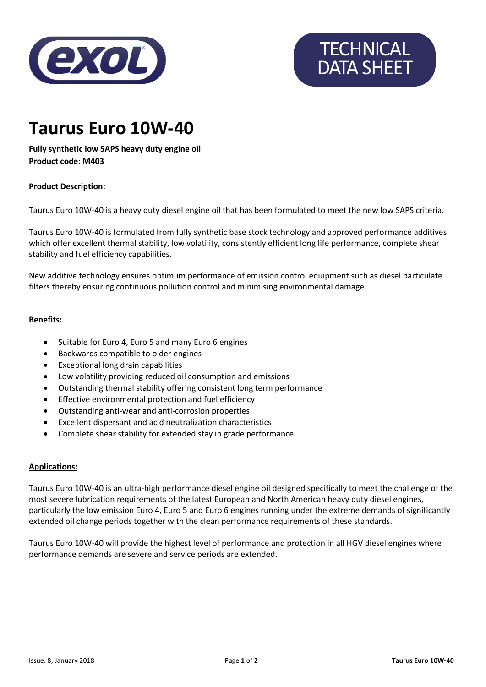

# **TECHNICAL** DATA SHEET

### **Taurus Euro 10W-40**

**Fully synthetic low SAPS heavy duty engine oil Product code: M403**

#### **Product Description:**

Taurus Euro 10W-40 is a heavy duty diesel engine oil that has been formulated to meet the new low SAPS criteria.

Taurus Euro 10W-40 is formulated from fully synthetic base stock technology and approved performance additives which offer excellent thermal stability, low volatility, consistently efficient long life performance, complete shear stability and fuel efficiency capabilities.

New additive technology ensures optimum performance of emission control equipment such as diesel particulate filters thereby ensuring continuous pollution control and minimising environmental damage.

#### **Benefits:**

- Suitable for Euro 4, Euro 5 and many Euro 6 engines
- Backwards compatible to older engines
- Exceptional long drain capabilities
- Low volatility providing reduced oil consumption and emissions
- Outstanding thermal stability offering consistent long term performance
- Effective environmental protection and fuel efficiency
- Outstanding anti-wear and anti-corrosion properties
- Excellent dispersant and acid neutralization characteristics
- Complete shear stability for extended stay in grade performance

#### **Applications:**

Taurus Euro 10W-40 is an ultra-high performance diesel engine oil designed specifically to meet the challenge of the most severe lubrication requirements of the latest European and North American heavy duty diesel engines, particularly the low emission Euro 4, Euro 5 and Euro 6 engines running under the extreme demands of significantly extended oil change periods together with the clean performance requirements of these standards.

Taurus Euro 10W-40 will provide the highest level of performance and protection in all HGV diesel engines where performance demands are severe and service periods are extended.